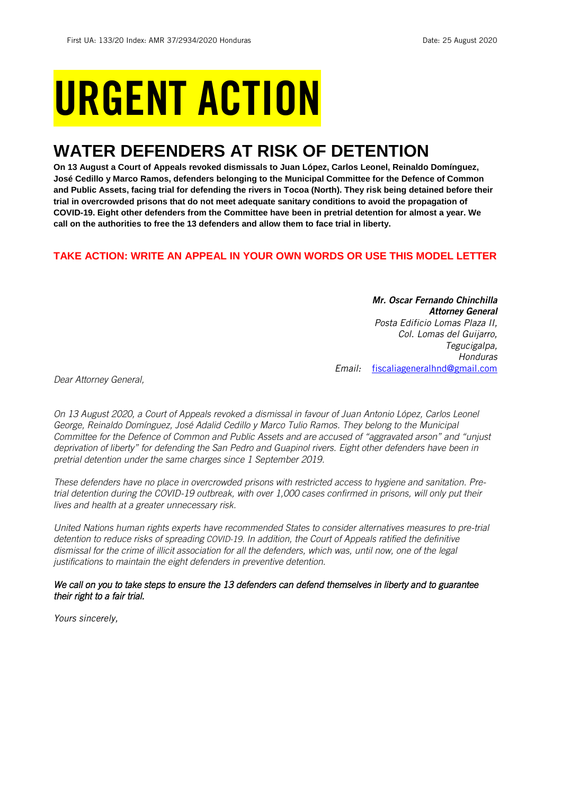# URGENT ACTION

## **WATER DEFENDERS AT RISK OF DETENTION**

**On 13 August a Court of Appeals revoked dismissals to Juan López, Carlos Leonel, Reinaldo Domínguez, José Cedillo y Marco Ramos, defenders belonging to the Municipal Committee for the Defence of Common and Public Assets, facing trial for defending the rivers in Tocoa (North). They risk being detained before their trial in overcrowded prisons that do not meet adequate sanitary conditions to avoid the propagation of COVID-19. Eight other defenders from the Committee have been in pretrial detention for almost a year. We call on the authorities to free the 13 defenders and allow them to face trial in liberty.**

## **TAKE ACTION: WRITE AN APPEAL IN YOUR OWN WORDS OR USE THIS MODEL LETTER**

*Mr. Oscar Fernando Chinchilla Attorney General Posta Edificio Lomas Plaza II, Col. Lomas del Guijarro, Tegucigalpa, Honduras Email:* [fiscaliageneralhnd@gmail.com](mailto:fiscaliageneralhnd@gmail.com)

*Dear Attorney General,*

*On 13 August 2020, a Court of Appeals revoked a dismissal in favour of Juan Antonio López, Carlos Leonel George, Reinaldo Domínguez, José Adalid Cedillo y Marco Tulio Ramos. They belong to the Municipal Committee for the Defence of Common and Public Assets and are accused of "aggravated arson" and "unjust deprivation of liberty" for defending the San Pedro and Guapinol rivers. Eight other defenders have been in pretrial detention under the same charges since 1 September 2019.*

*These defenders have no place in overcrowded prisons with restricted access to hygiene and sanitation. Pretrial detention during the COVID-19 outbreak, with over 1,000 cases confirmed in prisons, will only put their lives and health at a greater unnecessary risk.*

*United Nations human rights experts have recommended States to consider alternatives measures to pre-trial detention to reduce risks of spreading COVID-19. In addition, the Court of Appeals ratified the definitive dismissal for the crime of illicit association for all the defenders, which was, until now, one of the legal justifications to maintain the eight defenders in preventive detention.*

## *We call on you to take steps to ensure the 13 defenders can defend themselves in liberty and to guarantee their right to a fair trial.*

*Yours sincerely,*